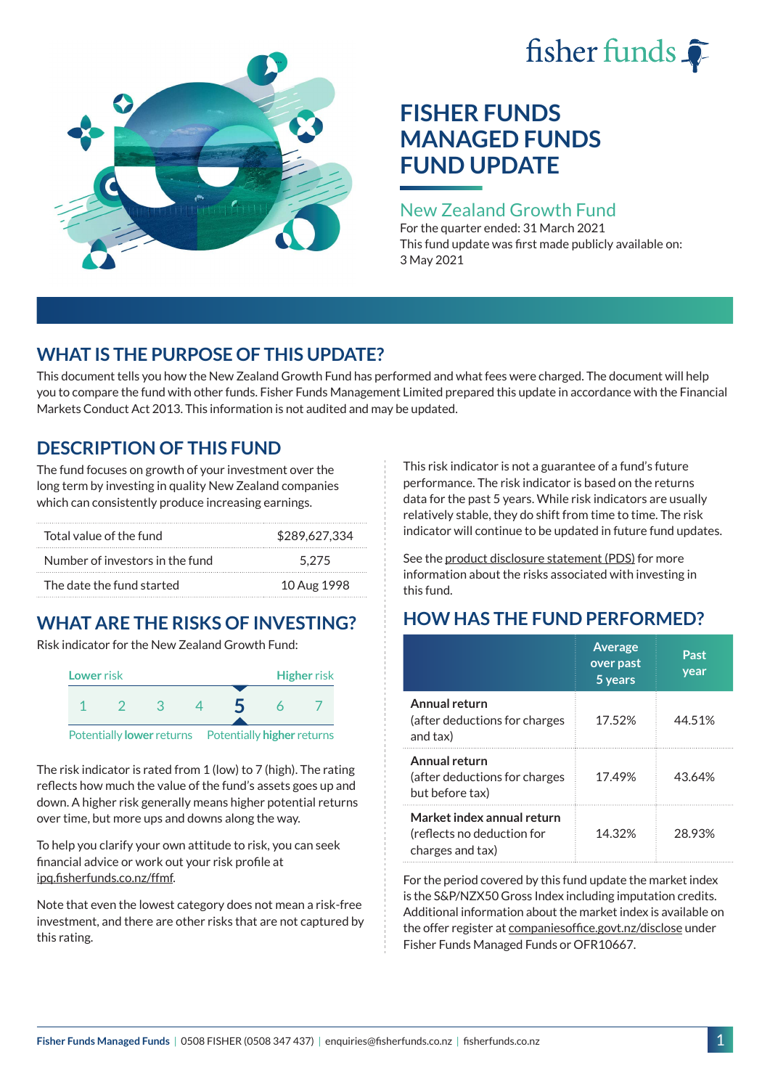# fisher funds  $\hat{\bullet}$



## **FISHER FUNDS MANAGED FUNDS FUND UPDATE**

## New Zealand Growth Fund

For the quarter ended: 31 March 2021 This fund update was first made publicly available on: 3 May 2021

## **WHAT IS THE PURPOSE OF THIS UPDATE?**

This document tells you how the New Zealand Growth Fund has performed and what fees were charged. The document will help you to compare the fund with other funds. Fisher Funds Management Limited prepared this update in accordance with the Financial Markets Conduct Act 2013. This information is not audited and may be updated.

## **DESCRIPTION OF THIS FUND**

The fund focuses on growth of your investment over the long term by investing in quality New Zealand companies which can consistently produce increasing earnings.

| Total value of the fund         | \$289.627.334 |
|---------------------------------|---------------|
| Number of investors in the fund | 5.275         |
| The date the fund started       | 10 Aug 1998   |

## **WHAT ARE THE RISKS OF INVESTING?**

Risk indicator for the New Zealand Growth Fund:



The risk indicator is rated from 1 (low) to 7 (high). The rating reflects how much the value of the fund's assets goes up and down. A higher risk generally means higher potential returns over time, but more ups and downs along the way.

To help you clarify your own attitude to risk, you can seek financial advice or work out your risk profile at [ipq.fisherfunds.co.nz/ffmf](https://ipq.fisherfunds.co.nz/ffmf).

Note that even the lowest category does not mean a risk-free investment, and there are other risks that are not captured by this rating.

This risk indicator is not a guarantee of a fund's future performance. The risk indicator is based on the returns data for the past 5 years. While risk indicators are usually relatively stable, they do shift from time to time. The risk indicator will continue to be updated in future fund updates.

See the [product disclosure statement \(PDS\)](https://fisherfunds.co.nz/assets/PDS/Fisher-Funds-Managed-Funds-PDS.pdf) for more information about the risks associated with investing in this fund.

## **HOW HAS THE FUND PERFORMED?**

|                                                                              | <b>Average</b><br>over past<br>5 years | Past<br>year |
|------------------------------------------------------------------------------|----------------------------------------|--------------|
| Annual return<br>(after deductions for charges<br>and tax)                   | 17.52%                                 | 44.51%       |
| Annual return<br>(after deductions for charges<br>but before tax)            | 17.49%                                 | 43.64%       |
| Market index annual return<br>(reflects no deduction for<br>charges and tax) | 14.32%                                 | 28.93%       |

For the period covered by this fund update the market index is the S&P/NZX50 Gross Index including imputation credits. Additional information about the market index is available on the offer register at [companiesoffice.govt.nz/disclose](http://companiesoffice.govt.nz/disclose) under Fisher Funds Managed Funds or OFR10667.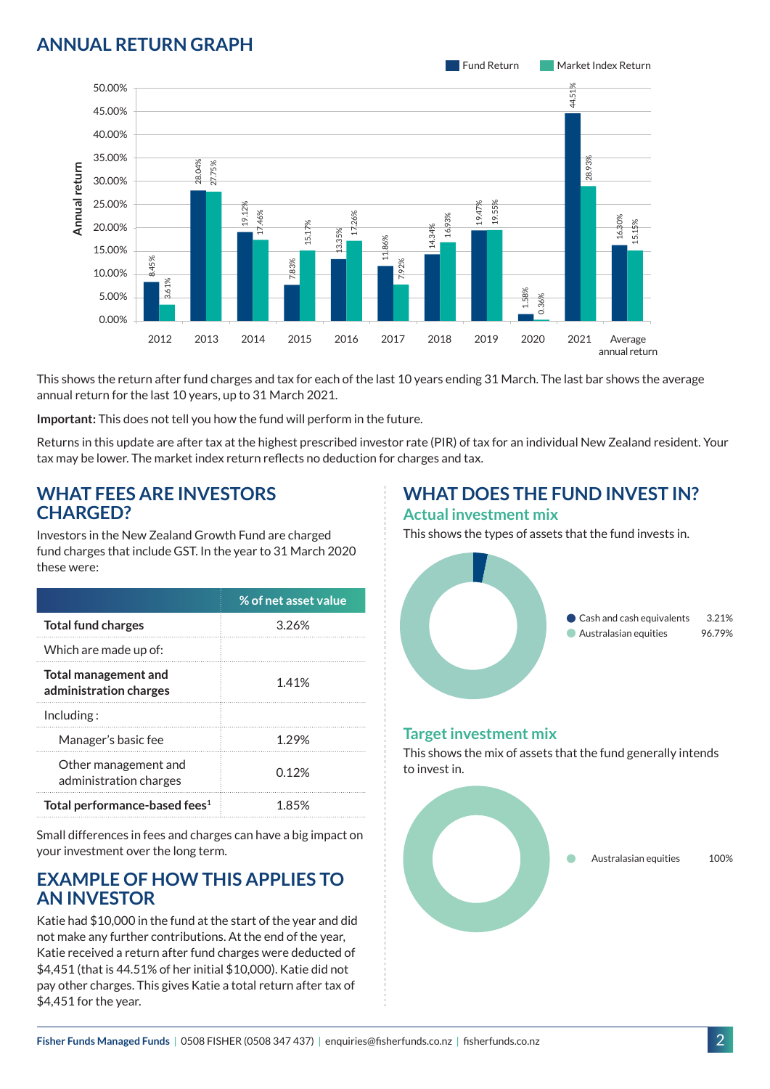## **ANNUAL RETURN GRAPH**



This shows the return after fund charges and tax for each of the last 10 years ending 31 March. The last bar shows the average annual return for the last 10 years, up to 31 March 2021.

**Important:** This does not tell you how the fund will perform in the future.

Returns in this update are after tax at the highest prescribed investor rate (PIR) of tax for an individual New Zealand resident. Your tax may be lower. The market index return reflects no deduction for charges and tax.

#### **WHAT FEES ARE INVESTORS CHARGED?**

Investors in the New Zealand Growth Fund are charged fund charges that include GST. In the year to 31 March 2020 these were:

|                                                | % of net asset value |
|------------------------------------------------|----------------------|
| <b>Total fund charges</b>                      | 3.26%                |
| Which are made up of:                          |                      |
| Total management and<br>administration charges | 1.41%                |
| Inding:                                        |                      |
| Manager's basic fee                            | 1.29%                |
| Other management and<br>administration charges | በ 12%                |
| Total performance-based fees <sup>1</sup>      | 1.85%                |

Small differences in fees and charges can have a big impact on your investment over the long term.

#### **EXAMPLE OF HOW THIS APPLIES TO AN INVESTOR**

Katie had \$10,000 in the fund at the start of the year and did not make any further contributions. At the end of the year, Katie received a return after fund charges were deducted of \$4,451 (that is 44.51% of her initial \$10,000). Katie did not pay other charges. This gives Katie a total return after tax of \$4,451 for the year.

#### **WHAT DOES THE FUND INVEST IN? Actual investment mix**

This shows the types of assets that the fund invests in.



#### **Target investment mix**

This shows the mix of assets that the fund generally intends to invest in.